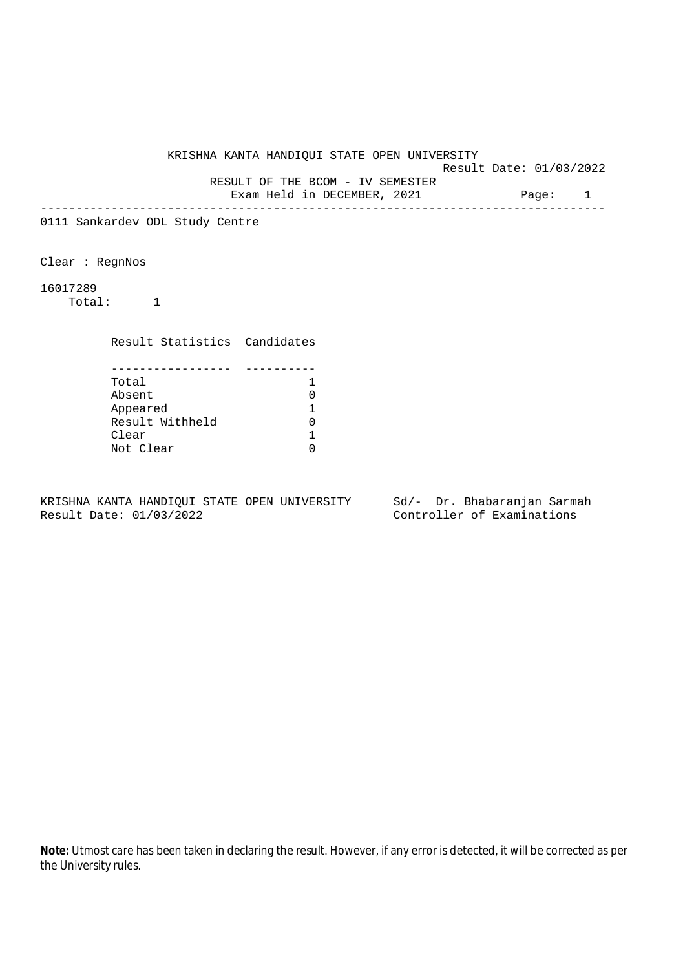KRISHNA KANTA HANDIQUI STATE OPEN UNIVERSITY Result Date: 01/03/2022 RESULT OF THE BCOM - IV SEMESTER Exam Held in DECEMBER, 2021 Page: 1 -------------------------------------------------------------------------------- 0111 Sankardev ODL Study Centre Clear : RegnNos 16017289 Total: 1 Result Statistics Candidates ----------------- ---------- Total 1<br>Absent 1 0 Absent 0 Appeared 1 Result Withheld 0<br>Clear 1 Clear Not Clear 0

KRISHNA KANTA HANDIQUI STATE OPEN UNIVERSITY Sd/- Dr. Bhabaranjan Sarmah Result Date: 01/03/2022 Controller of Examinations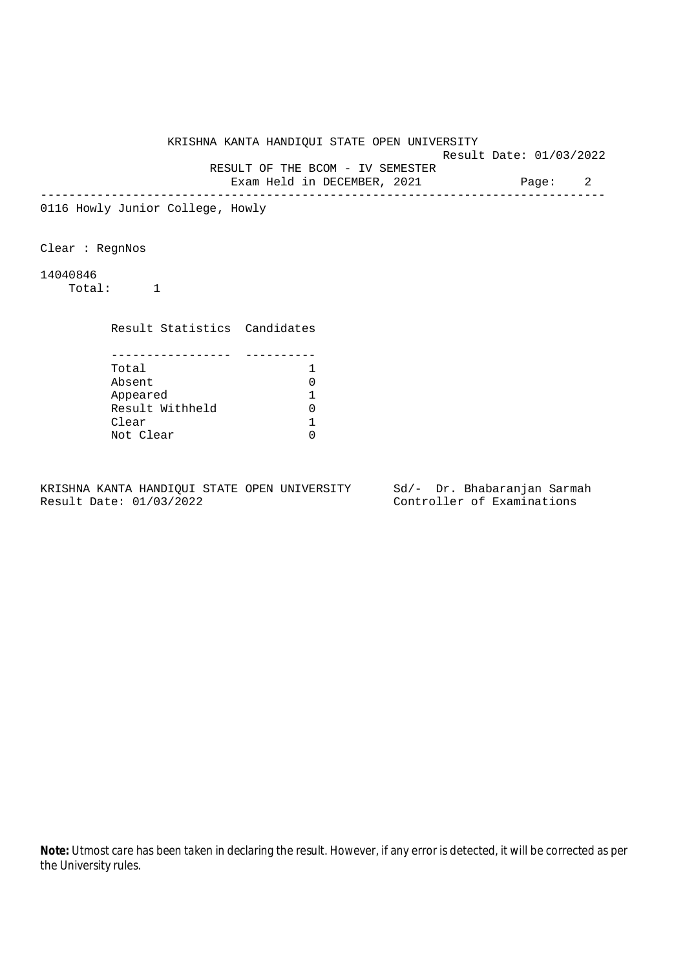Result Date: 01/03/2022

RESULT OF THE BCOM - IV SEMESTER

Exam Held in DECEMBER, 2021 Page: 2 --------------------------------------------------------------------------------

0116 Howly Junior College, Howly

Clear : RegnNos

## 14040846

Total: 1

Result Statistics Candidates

| Total           |  |
|-----------------|--|
| Absent          |  |
| Appeared        |  |
| Result Withheld |  |
| Clear           |  |
| Not Clear       |  |

KRISHNA KANTA HANDIQUI STATE OPEN UNIVERSITY Sd/- Dr. Bhabaranjan Sarmah Result Date: 01/03/2022 Controller of Examinations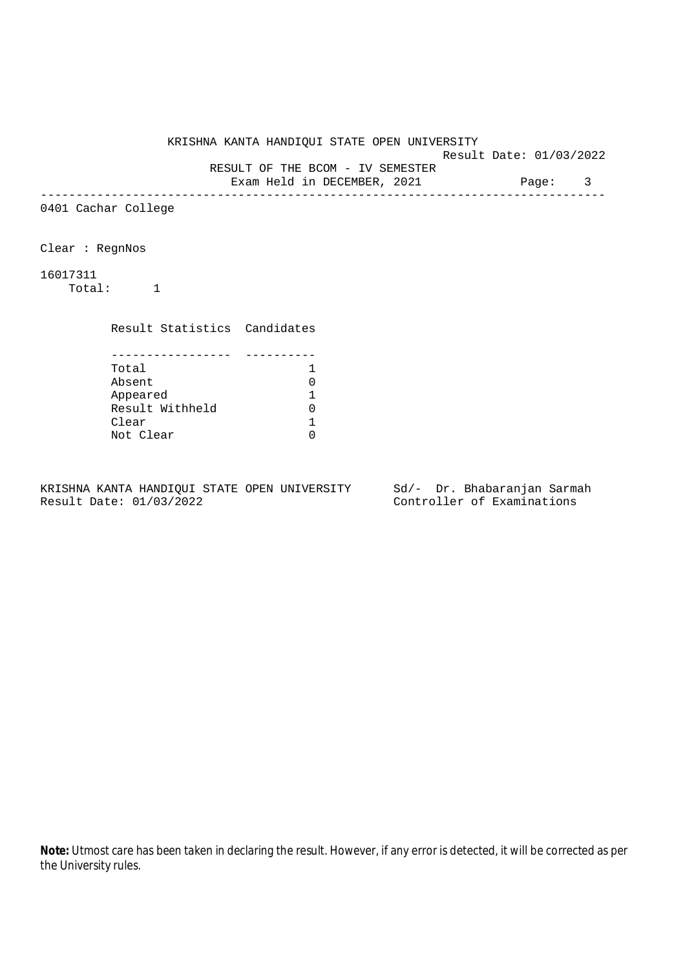Result Date: 01/03/2022 RESULT OF THE BCOM - IV SEMESTER

Exam Held in DECEMBER, 2021 Page: 3

--------------------------------------------------------------------------------

0401 Cachar College

Clear : RegnNos

16017311

Total: 1

Result Statistics Candidates

| Total           |  |
|-----------------|--|
| Absent          |  |
| Appeared        |  |
| Result Withheld |  |
| Clear           |  |
| Not Clear       |  |

KRISHNA KANTA HANDIQUI STATE OPEN UNIVERSITY Sd/- Dr. Bhabaranjan Sarmah Result Date: 01/03/2022 Controller of Examinations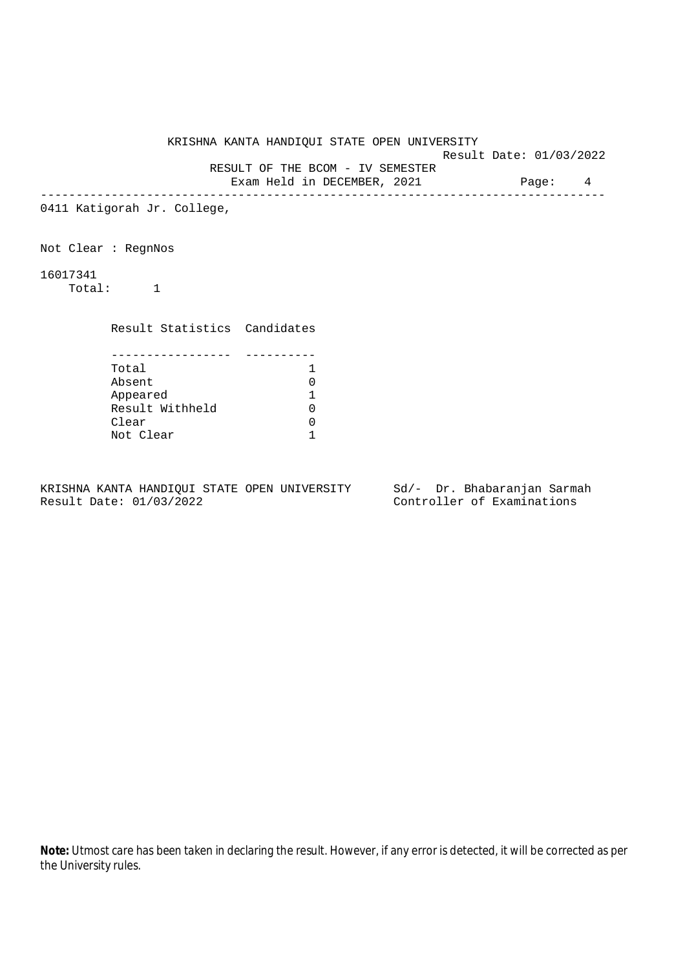Result Date: 01/03/2022

RESULT OF THE BCOM - IV SEMESTER

Exam Held in DECEMBER, 2021 Page: 4 --------------------------------------------------------------------------------

0411 Katigorah Jr. College,

Not Clear : RegnNos

16017341

Total: 1

Result Statistics Candidates

| Total           |  |
|-----------------|--|
| Absent          |  |
| Appeared        |  |
| Result Withheld |  |
| Clear           |  |
| Not Clear       |  |

KRISHNA KANTA HANDIQUI STATE OPEN UNIVERSITY Sd/- Dr. Bhabaranjan Sarmah Result Date: 01/03/2022 Controller of Examinations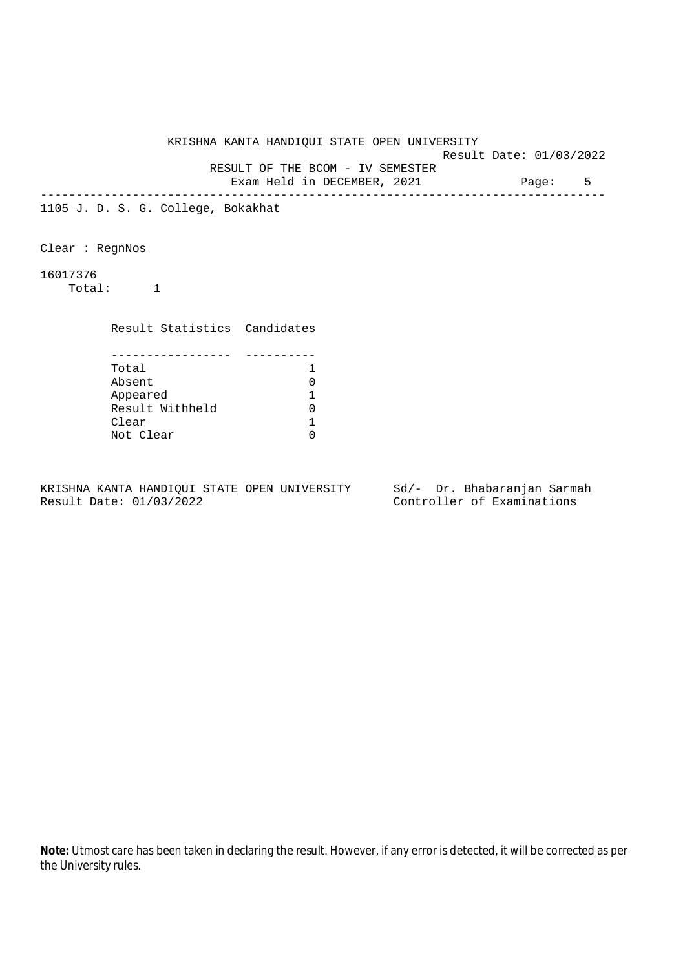Result Date: 01/03/2022

 RESULT OF THE BCOM - IV SEMESTER Exam Held in DECEMBER, 2021 Page: 5

--------------------------------------------------------------------------------

1105 J. D. S. G. College, Bokakhat

Clear : RegnNos

16017376

Total: 1

Result Statistics Candidates

| Total           |  |
|-----------------|--|
| Absent          |  |
| Appeared        |  |
| Result Withheld |  |
| Clear           |  |
| Not Clear       |  |

KRISHNA KANTA HANDIQUI STATE OPEN UNIVERSITY Sd/- Dr. Bhabaranjan Sarmah Result Date: 01/03/2022 Controller of Examinations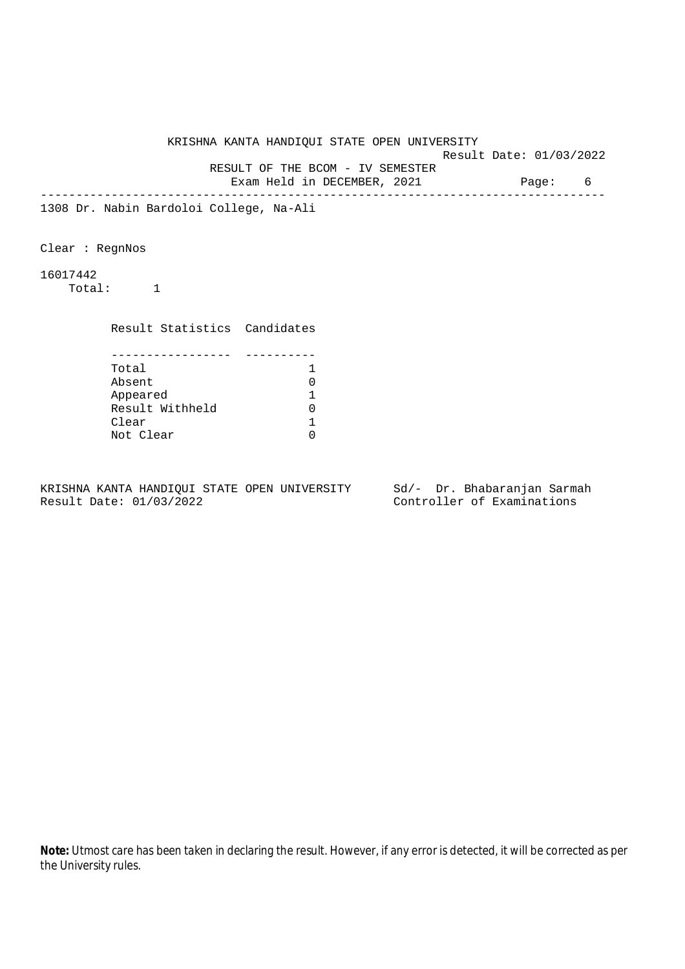Result Date: 01/03/2022

 RESULT OF THE BCOM - IV SEMESTER Exam Held in DECEMBER, 2021 Page: 6

--------------------------------------------------------------------------------

1308 Dr. Nabin Bardoloi College, Na-Ali

Clear : RegnNos

16017442

Total: 1

Result Statistics Candidates

| Total           |  |
|-----------------|--|
| Absent          |  |
| Appeared        |  |
| Result Withheld |  |
| Clear           |  |
| Not Clear       |  |

KRISHNA KANTA HANDIQUI STATE OPEN UNIVERSITY Sd/- Dr. Bhabaranjan Sarmah Result Date: 01/03/2022 Controller of Examinations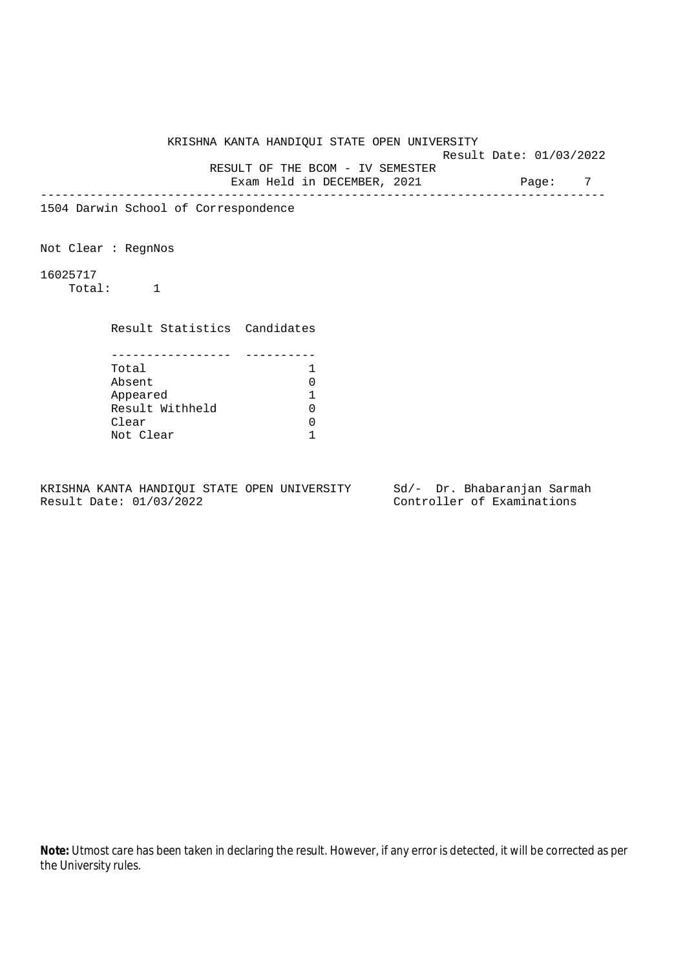Result Date: 01/03/2022

RESULT OF THE BCOM - IV SEMESTER

Exam Held in DECEMBER, 2021 Page: 7 --------------------------------------------------------------------------------

1504 Darwin School of Correspondence

Not Clear : RegnNos

16025717

Total: 1

Result Statistics Candidates

| Total           |  |
|-----------------|--|
| Absent          |  |
| Appeared        |  |
| Result Withheld |  |
| Clear           |  |
| Not Clear       |  |

KRISHNA KANTA HANDIQUI STATE OPEN UNIVERSITY Sd/- Dr. Bhabaranjan Sarmah Result Date: 01/03/2022 Controller of Examinations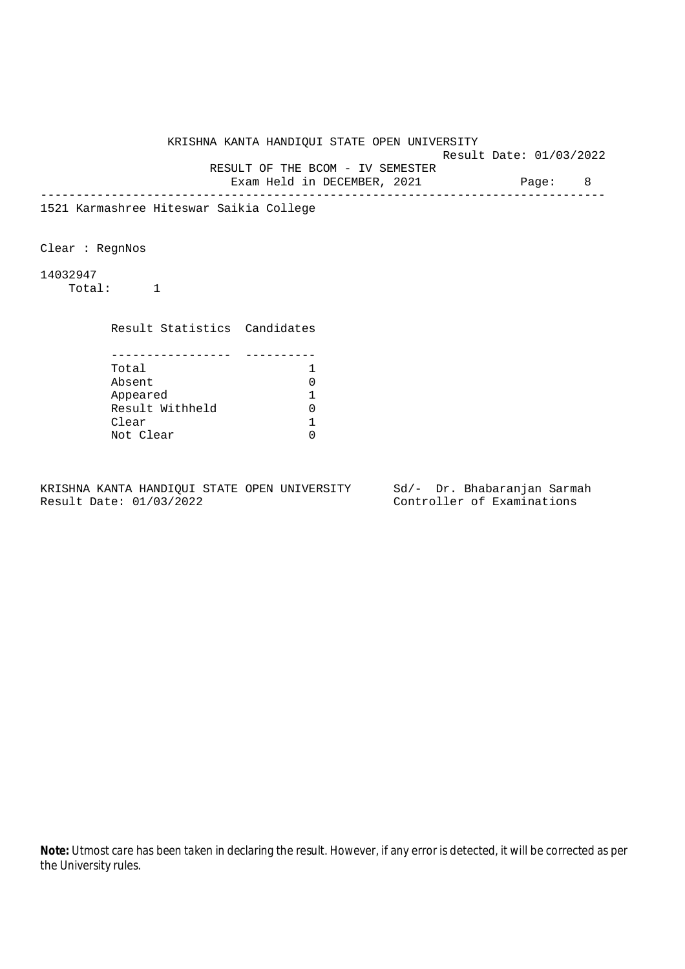Result Date: 01/03/2022

 RESULT OF THE BCOM - IV SEMESTER Exam Held in DECEMBER, 2021 Page: 8

--------------------------------------------------------------------------------

1521 Karmashree Hiteswar Saikia College

Clear : RegnNos

14032947

Total: 1

Result Statistics Candidates

| Total           |  |
|-----------------|--|
| Absent          |  |
| Appeared        |  |
| Result Withheld |  |
| Clear           |  |
| Not Clear       |  |

KRISHNA KANTA HANDIQUI STATE OPEN UNIVERSITY Sd/- Dr. Bhabaranjan Sarmah Result Date: 01/03/2022 Controller of Examinations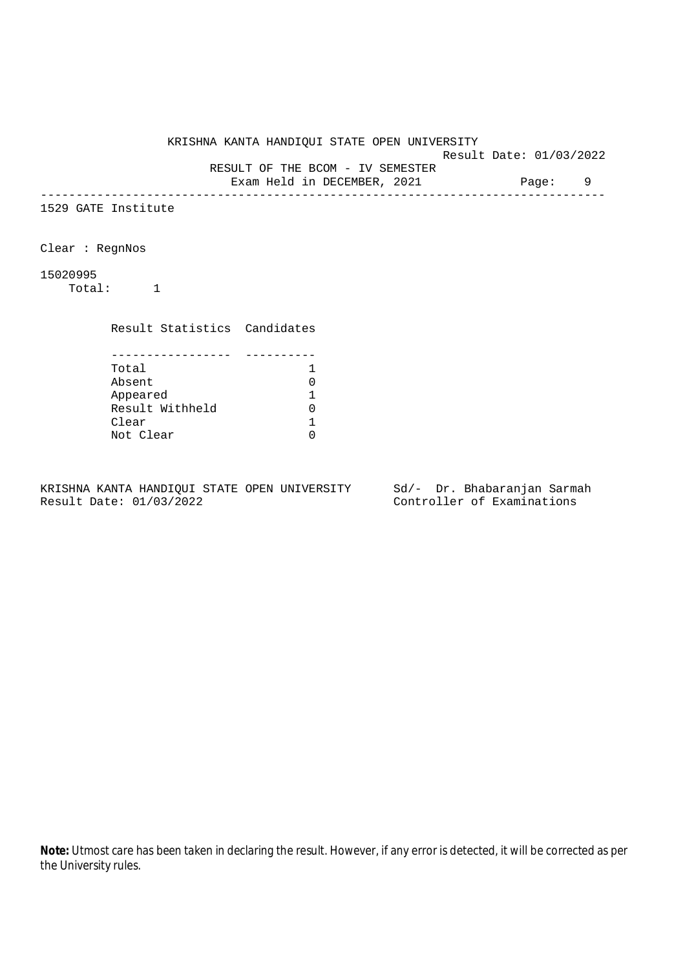Result Date: 01/03/2022

RESULT OF THE BCOM - IV SEMESTER

Exam Held in DECEMBER, 2021 Page: 9 --------------------------------------------------------------------------------

1529 GATE Institute

Clear : RegnNos

## 15020995

Total: 1

Result Statistics Candidates

| Total           |  |
|-----------------|--|
| Absent          |  |
| Appeared        |  |
| Result Withheld |  |
| Clear           |  |
| Not Clear       |  |

KRISHNA KANTA HANDIQUI STATE OPEN UNIVERSITY Sd/- Dr. Bhabaranjan Sarmah Result Date: 01/03/2022 Controller of Examinations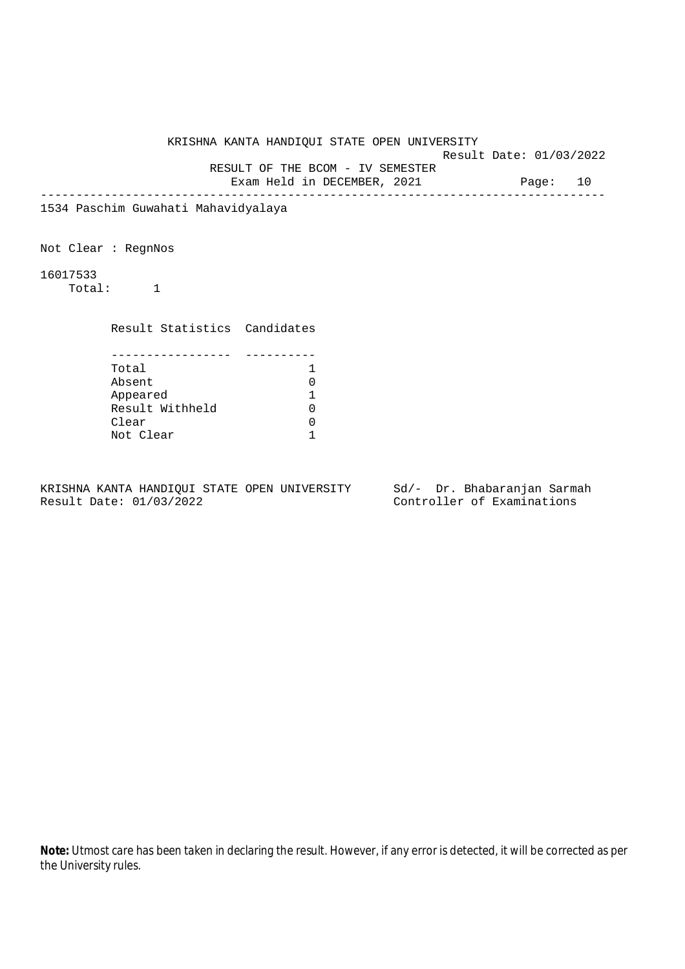Result Date: 01/03/2022

RESULT OF THE BCOM - IV SEMESTER

Exam Held in DECEMBER, 2021 Page: 10 --------------------------------------------------------------------------------

1534 Paschim Guwahati Mahavidyalaya

Not Clear : RegnNos

16017533

Total: 1

Result Statistics Candidates

| Total           |  |
|-----------------|--|
| Absent          |  |
| Appeared        |  |
| Result Withheld |  |
| Clear           |  |
| Not Clear       |  |

KRISHNA KANTA HANDIQUI STATE OPEN UNIVERSITY Sd/- Dr. Bhabaranjan Sarmah Result Date: 01/03/2022 Controller of Examinations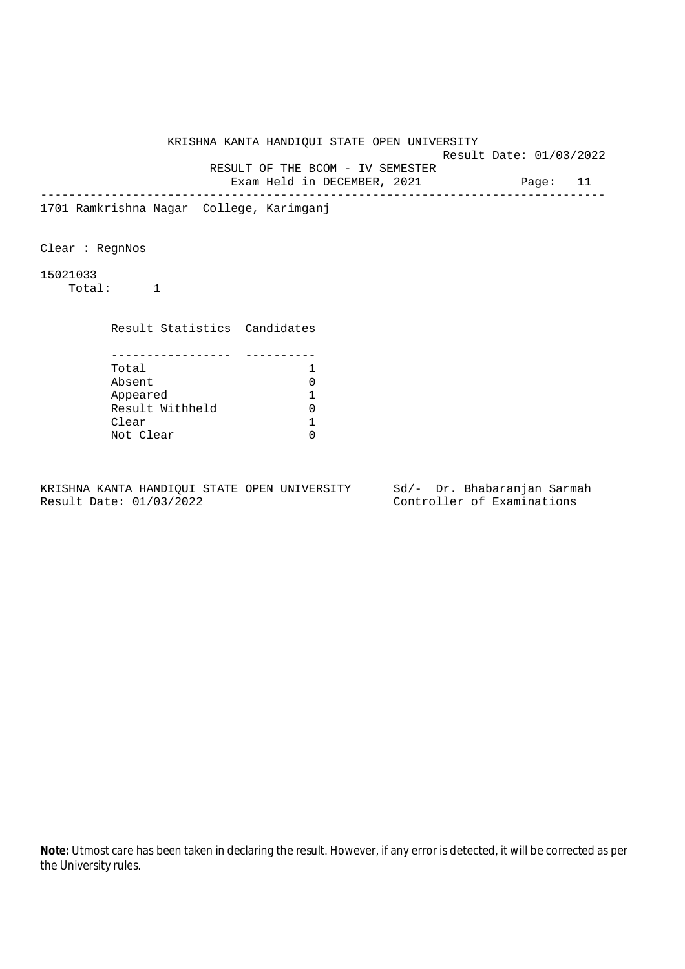KRISHNA KANTA HANDIQUI STATE OPEN UNIVERSITY Result Date: 01/03/2022 RESULT OF THE BCOM - IV SEMESTER Exam Held in DECEMBER, 2021 Page: 11 -------------------------------------------------------------------------------- 1701 Ramkrishna Nagar College, Karimganj Clear : RegnNos 15021033 Total: 1 Result Statistics Candidates ----------------- ---------- Total 1 Absent 0 Appeared 1<br>Result Withheld 1 Result Withheld 0<br>Clear 1 Clear 1<br>Not Clear 1 Not Clear

KRISHNA KANTA HANDIQUI STATE OPEN UNIVERSITY Sd/- Dr. Bhabaranjan Sarmah Result Date: 01/03/2022 Controller of Examinations